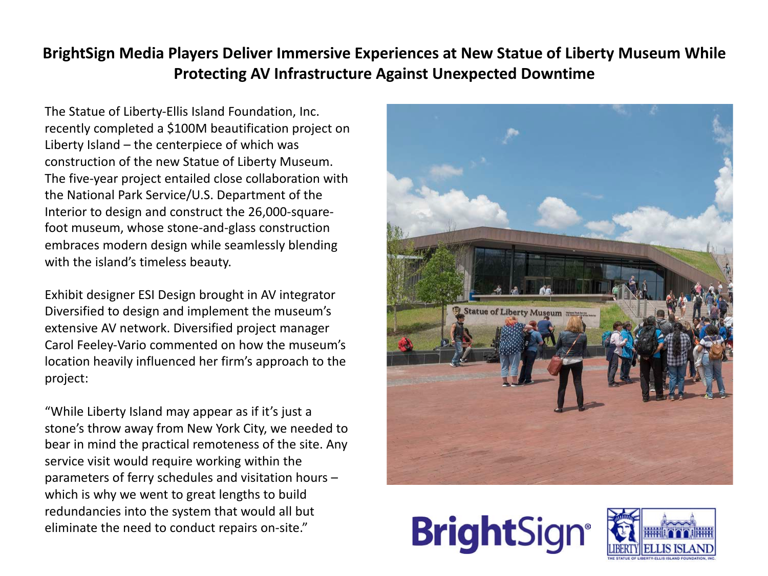## **BrightSign Media Players Deliver Immersive Experiences at New Statue of Liberty Museum While Protecting AV Infrastructure Against Unexpected Downtime**

The Statue of Liberty-Ellis Island Foundation, Inc. recently completed a \$100M beautification project on Liberty Island – the centerpiece of which was construction of the new Statue of Liberty Museum. The five-year project entailed close collaboration with the National Park Service/U.S. Department of the Interior to design and construct the 26,000-squarefoot museum, whose stone-and-glass construction embraces modern design while seamlessly blending with the island's timeless beauty.

Exhibit designer ESI Design brought in AV integrator Diversified to design and implement the museum's extensive AV network. Diversified project manager Carol Feeley-Vario commented on how the museum's location heavily influenced her firm's approach to the project:

"While Liberty Island may appear as if it's just a stone's throw away from New York City, we needed to bear in mind the practical remoteness of the site. Any service visit would require working within the parameters of ferry schedules and visitation hours – which is why we went to great lengths to build redundancies into the system that would all but eliminate the need to conduct repairs on-site."





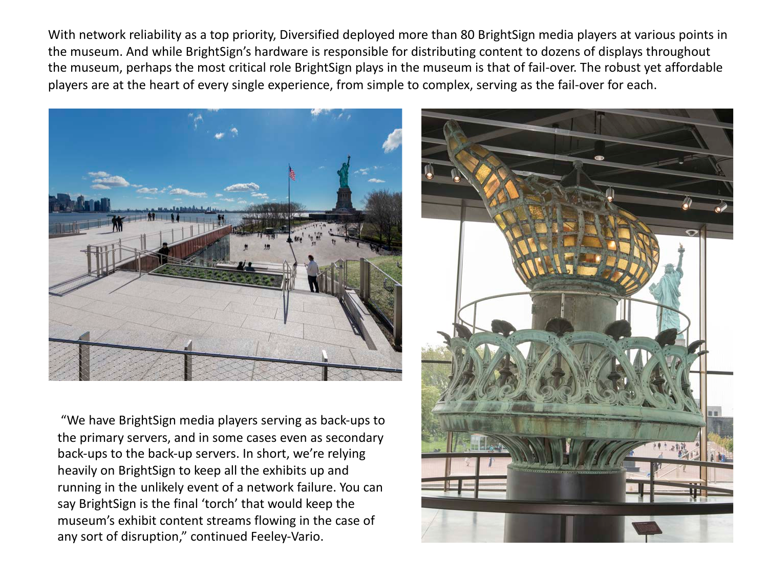With network reliability as a top priority, Diversified deployed more than 80 BrightSign media players at various points in the museum. And while BrightSign's hardware is responsible for distributing content to dozens of displays throughout the museum, perhaps the most critical role BrightSign plays in the museum is that of fail-over. The robust yet affordable players are at the heart of every single experience, from simple to complex, serving as the fail-over for each.



"We have BrightSign media players serving as back-ups to the primary servers, and in some cases even as secondary back-ups to the back-up servers. In short, we're relying heavily on BrightSign to keep all the exhibits up and running in the unlikely event of a network failure. You can say BrightSign is the final 'torch' that would keep the museum's exhibit content streams flowing in the case of any sort of disruption," continued Feeley-Vario.

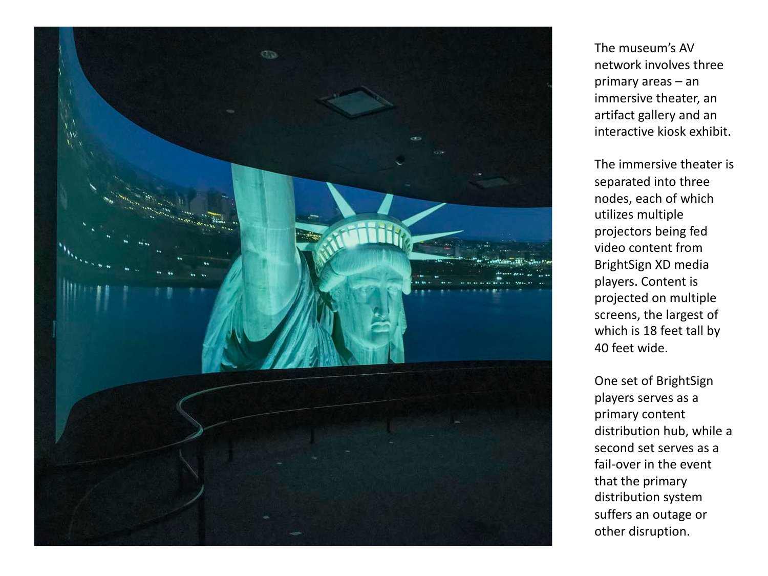

The museum's AV network involves three primary areas – an immersive theater, an artifact gallery and an interactive kiosk exhibit.

The immersive theater is separated into three nodes, each of which utilizes multiple projectors being fed video content from BrightSign XD media players. Content is projected on multiple screens, the largest of which is 18 feet tall by 40 feet wide.

One set of BrightSign players serves as a primary content distribution hub, while a second set serves as a fail-over in the event that the primary distribution system suffers an outage or other disruption.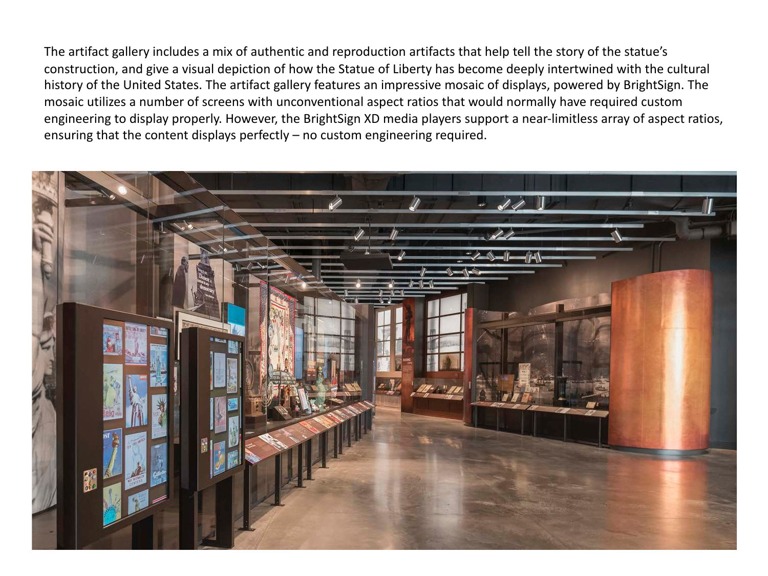The artifact gallery includes a mix of authentic and reproduction artifacts that help tell the story of the statue's construction, and give a visual depiction of how the Statue of Liberty has become deeply intertwined with the cultural history of the United States. The artifact gallery features an impressive mosaic of displays, powered by BrightSign. The mosaic utilizes a number of screens with unconventional aspect ratios that would normally have required custom engineering to display properly. However, the BrightSign XD media players support a near-limitless array of aspect ratios, ensuring that the content displays perfectly – no custom engineering required.

![](_page_3_Picture_1.jpeg)